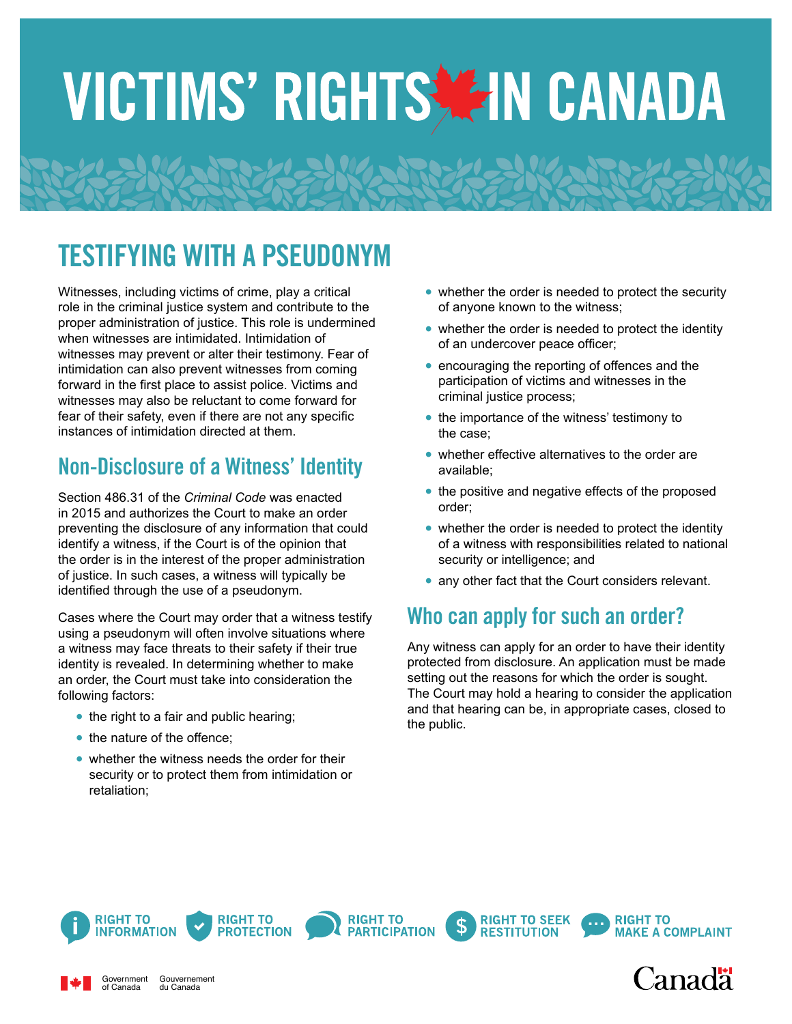# VICTIMS' RIGHTS TEIN CANADA

## TESTIFYING WITH A PSEUDONYM

Witnesses, including victims of crime, play a critical role in the criminal justice system and contribute to the proper administration of justice. This role is undermined when witnesses are intimidated. Intimidation of witnesses may prevent or alter their testimony. Fear of intimidation can also prevent witnesses from coming forward in the first place to assist police. Victims and witnesses may also be reluctant to come forward for fear of their safety, even if there are not any specific instances of intimidation directed at them.

### Non-Disclosure of a Witness' Identity

Section 486.31 of the *Criminal Code* was enacted in 2015 and authorizes the Court to make an order preventing the disclosure of any information that could identify a witness, if the Court is of the opinion that the order is in the interest of the proper administration of justice. In such cases, a witness will typically be identified through the use of a pseudonym.

Cases where the Court may order that a witness testify using a pseudonym will often involve situations where a witness may face threats to their safety if their true identity is revealed. In determining whether to make an order, the Court must take into consideration the following factors:

- the right to a fair and public hearing;
- the nature of the offence;
- **•** whether the witness needs the order for their security or to protect them from intimidation or retaliation;
- whether the order is needed to protect the security of anyone known to the witness;
- whether the order is needed to protect the identity of an undercover peace officer;
- encouraging the reporting of offences and the participation of victims and witnesses in the criminal justice process;
- **•** the importance of the witness' testimony to the case;
- **•** whether effective alternatives to the order are available;
- the positive and negative effects of the proposed order;
- whether the order is needed to protect the identity of a witness with responsibilities related to national security or intelligence; and
- **•** any other fact that the Court considers relevant.

#### Who can apply for such an order?

Any witness can apply for an order to have their identity protected from disclosure. An application must be made setting out the reasons for which the order is sought. The Court may hold a hearing to consider the application and that hearing can be, in appropriate cases, closed to the public.



Government of Canada



**RIGHT TO** 

Gouvernement du Canada